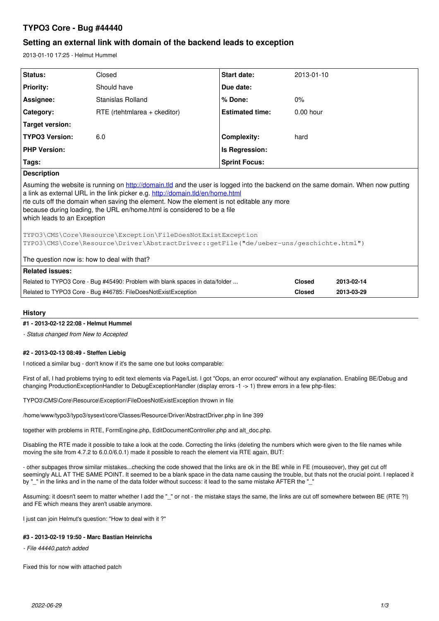# **TYPO3 Core - Bug #44440**

# **Setting an external link with domain of the backend leads to exception**

2013-01-10 17:25 - Helmut Hummel

| Status:                                                                                                                                                                                                                                                                                                                                                                                                                  | Closed                         | Start date:            | 2013-01-10    |            |
|--------------------------------------------------------------------------------------------------------------------------------------------------------------------------------------------------------------------------------------------------------------------------------------------------------------------------------------------------------------------------------------------------------------------------|--------------------------------|------------------------|---------------|------------|
| <b>Priority:</b>                                                                                                                                                                                                                                                                                                                                                                                                         | Should have                    | Due date:              |               |            |
| Assignee:                                                                                                                                                                                                                                                                                                                                                                                                                | <b>Stanislas Rolland</b>       | % Done:                | 0%            |            |
| Category:                                                                                                                                                                                                                                                                                                                                                                                                                | $RTE$ (rtehtmlarea + ckeditor) | <b>Estimated time:</b> | $0.00$ hour   |            |
| Target version:                                                                                                                                                                                                                                                                                                                                                                                                          |                                |                        |               |            |
| <b>TYPO3 Version:</b>                                                                                                                                                                                                                                                                                                                                                                                                    | 6.0                            | <b>Complexity:</b>     | hard          |            |
| <b>PHP Version:</b>                                                                                                                                                                                                                                                                                                                                                                                                      |                                | Is Regression:         |               |            |
| <b>Sprint Focus:</b><br>Tags:                                                                                                                                                                                                                                                                                                                                                                                            |                                |                        |               |            |
| <b>Description</b>                                                                                                                                                                                                                                                                                                                                                                                                       |                                |                        |               |            |
| Asuming the website is running on http://domain.tld and the user is logged into the backend on the same domain. When now putting<br>a link as external URL in the link picker e.g. http://domain.tld/en/home.html<br>rte cuts off the domain when saving the element. Now the element is not editable any more<br>because during loading, the URL en/home.html is considered to be a file<br>which leads to an Exception |                                |                        |               |            |
| TYPO3\CMS\Core\Resource\Exception\FileDoesNotExistException                                                                                                                                                                                                                                                                                                                                                              |                                |                        |               |            |
| TYPO3\CMS\Core\Resource\Driver\AbstractDriver::getFile("de/ueber-uns/geschichte.html")                                                                                                                                                                                                                                                                                                                                   |                                |                        |               |            |
| The question now is: how to deal with that?                                                                                                                                                                                                                                                                                                                                                                              |                                |                        |               |            |
| <b>Related issues:</b>                                                                                                                                                                                                                                                                                                                                                                                                   |                                |                        |               |            |
| Related to TYPO3 Core - Bug #45490: Problem with blank spaces in data/folder                                                                                                                                                                                                                                                                                                                                             |                                |                        | <b>Closed</b> | 2013-02-14 |
| Related to TYPO3 Core - Bug #46785: FileDoesNotExistException                                                                                                                                                                                                                                                                                                                                                            |                                |                        | <b>Closed</b> | 2013-03-29 |

# **History**

# **#1 - 2013-02-12 22:08 - Helmut Hummel**

*- Status changed from New to Accepted*

# **#2 - 2013-02-13 08:49 - Steffen Liebig**

I noticed a similar bug - don't know if it's the same one but looks comparable:

First of all, I had problems trying to edit text elements via Page/List. I got "Oops, an error occured" without any explanation. Enabling BE/Debug and changing ProductionExceptionHandler to DebugExceptionHandler (display errors -1 -> 1) threw errors in a few php-files:

TYPO3\CMS\Core\Resource\Exception\FileDoesNotExistException thrown in file

/home/www/typo3/typo3/sysext/core/Classes/Resource/Driver/AbstractDriver.php in line 399

together with problems in RTE, FormEngine.php, EditDocumentController.php and alt\_doc.php.

Disabling the RTE made it possible to take a look at the code. Correcting the links (deleting the numbers which were given to the file names while moving the site from 4.7.2 to 6.0.0/6.0.1) made it possible to reach the element via RTE again, BUT:

- other subpages throw similar mistakes...checking the code showed that the links are ok in the BE while in FE (mouseover), they get cut off seemingly ALL AT THE SAME POINT. It seemed to be a blank space in the data name causing the trouble, but thats not the crucial point. I replaced it by "\_" in the links and in the name of the data folder without success: it lead to the same mistake AFTER the "\_'

Assuming: it doesn't seem to matter whether I add the "\_" or not - the mistake stays the same, the links are cut off somewhere between BE (RTE ?!) and FE which means they aren't usable anymore.

I just can join Helmut's question: "How to deal with it ?"

# **#3 - 2013-02-19 19:50 - Marc Bastian Heinrichs**

*- File 44440.patch added*

Fixed this for now with attached patch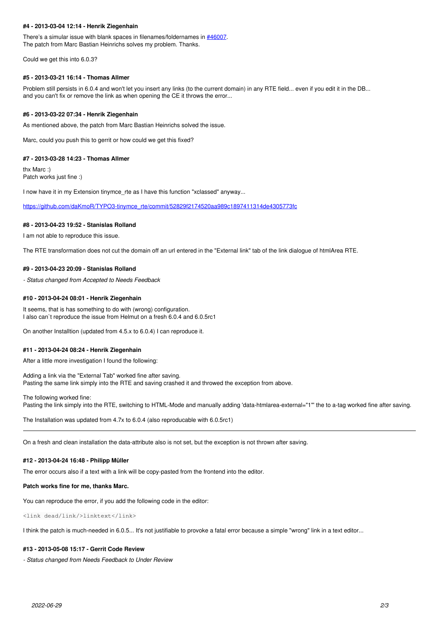## **#4 - 2013-03-04 12:14 - Henrik Ziegenhain**

There's a simular issue with blank spaces in filenames/foldernames in  $\#46007$  $\#46007$ . The patch from Marc Bastian Heinrichs solves my problem. Thanks.

Could we get this into 6.0.3?

#### **#5 - 2013-03-21 16:14 - Thomas Allmer**

Problem still persists in 6.0.4 and won't let you insert any links (to the current domain) in any RTE field... even if you edit it in the DB... and you can't fix or remove the link as when opening the CE it throws the error...

#### **#6 - 2013-03-22 07:34 - Henrik Ziegenhain**

As mentioned above, the patch from Marc Bastian Heinrichs solved the issue.

Marc, could you push this to gerrit or how could we get this fixed?

#### **#7 - 2013-03-28 14:23 - Thomas Allmer**

thx Marc :) Patch works just fine :)

I now have it in my Extension tinymce rte as I have this function "xclassed" anyway...

[https://github.com/daKmoR/TYPO3-tinymce\\_rte/commit/52829f2174520aa989c1897411314de4305773fc](https://github.com/daKmoR/TYPO3-tinymce_rte/commit/52829f2174520aa989c1897411314de4305773fc)

#### **#8 - 2013-04-23 19:52 - Stanislas Rolland**

I am not able to reproduce this issue.

The RTE transformation does not cut the domain off an url entered in the "External link" tab of the link dialogue of htmlArea RTE.

#### **#9 - 2013-04-23 20:09 - Stanislas Rolland**

*- Status changed from Accepted to Needs Feedback*

#### **#10 - 2013-04-24 08:01 - Henrik Ziegenhain**

It seems, that is has something to do with (wrong) configuration. I also can`t reproduce the issue from Helmut on a fresh 6.0.4 and 6.0.5rc1

On another Installtion (updated from 4.5.x to 6.0.4) I can reproduce it.

#### **#11 - 2013-04-24 08:24 - Henrik Ziegenhain**

After a little more investigation I found the following:

Adding a link via the "External Tab" worked fine after saving. Pasting the same link simply into the RTE and saving crashed it and throwed the exception from above.

The following worked fine: Pasting the link simply into the RTE, switching to HTML-Mode and manually adding 'data-htmlarea-external="1"' the to a-tag worked fine after saving.

The Installation was updated from 4.7x to 6.0.4 (also reproducable with 6.0.5rc1)

On a fresh and clean installation the data-attribute also is not set, but the exception is not thrown after saving.

#### **#12 - 2013-04-24 16:48 - Philipp Müller**

The error occurs also if a text with a link will be copy-pasted from the frontend into the editor.

#### **Patch works fine for me, thanks Marc.**

You can reproduce the error, if you add the following code in the editor:

<link dead/link/>linktext</link>

I think the patch is much-needed in 6.0.5... It's not justifiable to provoke a fatal error because a simple "wrong" link in a text editor...

### **#13 - 2013-05-08 15:17 - Gerrit Code Review**

*- Status changed from Needs Feedback to Under Review*